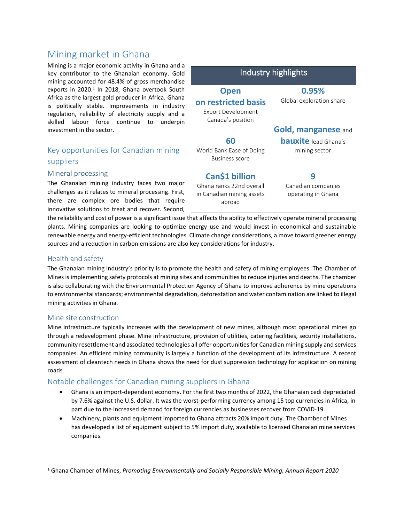# Mining market in Ghana

Mining is a major economic activity in Ghana and a key contributor to the Ghanaian economy. Gold mining accounted for 48.4% of gross merchandise exports in 2020. $^1$  In 2018, Ghana overtook South Africa as the largest gold producer in Africa. Ghana is politically stable. Improvements in industry regulation, reliability of electricity supply and a skilled labour force continue to underpin investment in the sector.

## Key opportunities for Canadian mining suppliers

#### Mineral processing

The Ghanaian mining industry faces two major challenges as it relates to mineral processing. First, there are complex ore bodies that require innovative solutions to treat and recover. Second,



the reliability and cost of power is a significant issue that affects the ability to effectively operate mineral processing plants. Mining companies are looking to optimize energy use and would invest in economical and sustainable renewable energy and energy-efficient technologies. Climate change considerations, a move toward greener energy sources and a reduction in carbon emissions are also key considerations for industry.

#### Health and safety

The Ghanaian mining industry's priority is to promote the health and safety of mining employees. The Chamber of Mines is implementing safety protocols at mining sites and communities to reduce injuries and deaths. The chamber is also collaborating with the Environmental Protection Agency of Ghana to improve adherence by mine operations to environmental standards; environmental degradation, deforestation and water contamination are linked to illegal mining activities in Ghana.

#### Mine site construction

 $\overline{\phantom{a}}$ 

Mine infrastructure typically increases with the development of new mines, although most operational mines go through a redevelopment phase. Mine infrastructure, provision of utilities, catering facilities, security installations, community resettlement and associated technologies all offer opportunities for Canadian mining supply and services companies. An efficient mining community is largely a function of the development of its infrastructure. A recent assessment of cleantech needs in Ghana shows the need for dust suppression technology for application on mining roads.

### Notable challenges for Canadian mining suppliers in Ghana

- Ghana is an import-dependent economy. For the first two months of 2022, the Ghanaian cedi depreciated by 7.6% against the U.S. dollar. It was the worst-performing currency among 15 top currencies in Africa, in part due to the increased demand for foreign currencies as businesses recover from COVID-19.
- Machinery, plants and equipment imported to Ghana attracts 20% import duty. The Chamber of Mines has developed a list of equipment subject to 5% import duty, available to licensed Ghanaian mine services companies.

<sup>1</sup> Ghana Chamber of Mines, *Promoting Environmentally and Socially Responsible Mining, Annual Report 2020*